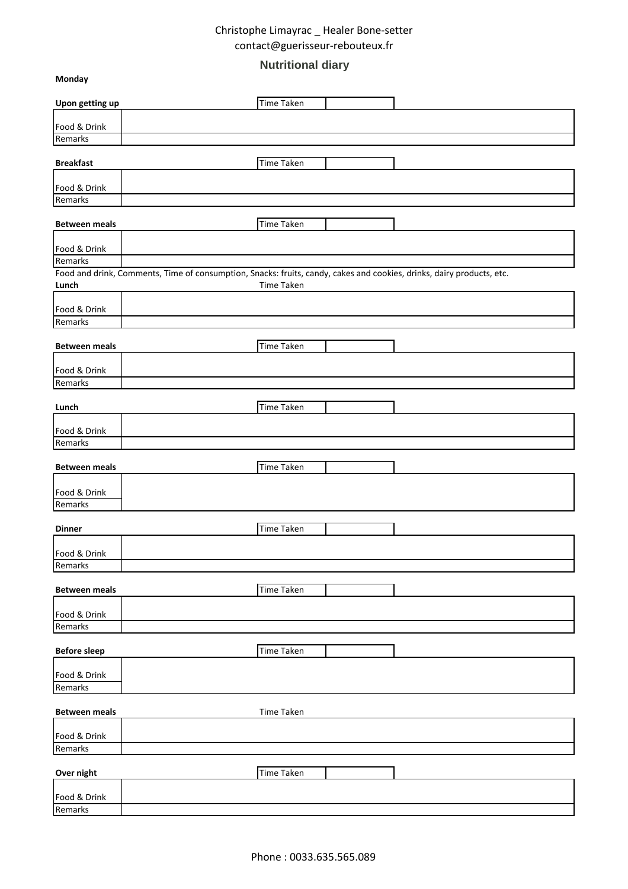# **Nutritional diary**

**Monday**

| Upon getting up         | <b>Time Taken</b>                                                                                                                   |
|-------------------------|-------------------------------------------------------------------------------------------------------------------------------------|
| Food & Drink            |                                                                                                                                     |
| Remarks                 |                                                                                                                                     |
| <b>Breakfast</b>        | Time Taken                                                                                                                          |
| Food & Drink            |                                                                                                                                     |
| Remarks                 |                                                                                                                                     |
| <b>Between meals</b>    | <b>Time Taken</b>                                                                                                                   |
| Food & Drink            |                                                                                                                                     |
| Remarks                 |                                                                                                                                     |
| Lunch                   | Food and drink, Comments, Time of consumption, Snacks: fruits, candy, cakes and cookies, drinks, dairy products, etc.<br>Time Taken |
| Food & Drink            |                                                                                                                                     |
| Remarks                 |                                                                                                                                     |
| <b>Between meals</b>    | Time Taken                                                                                                                          |
| Food & Drink            |                                                                                                                                     |
| Remarks                 |                                                                                                                                     |
| Lunch                   | Time Taken                                                                                                                          |
| Food & Drink            |                                                                                                                                     |
| Remarks                 |                                                                                                                                     |
| <b>Between meals</b>    | Time Taken                                                                                                                          |
| Food & Drink<br>Remarks |                                                                                                                                     |
|                         |                                                                                                                                     |
| <b>Dinner</b>           | Time Taken                                                                                                                          |
| Food & Drink            |                                                                                                                                     |
| Remarks                 |                                                                                                                                     |
| <b>Between meals</b>    | <b>Time Taken</b>                                                                                                                   |
| Food & Drink            |                                                                                                                                     |
| Remarks                 |                                                                                                                                     |
| <b>Before sleep</b>     | Time Taken                                                                                                                          |
| Food & Drink            |                                                                                                                                     |
| Remarks                 |                                                                                                                                     |
| <b>Between meals</b>    | Time Taken                                                                                                                          |
| Food & Drink            |                                                                                                                                     |
| Remarks                 |                                                                                                                                     |
| Over night              | Time Taken                                                                                                                          |
| Food & Drink            |                                                                                                                                     |
| Remarks                 |                                                                                                                                     |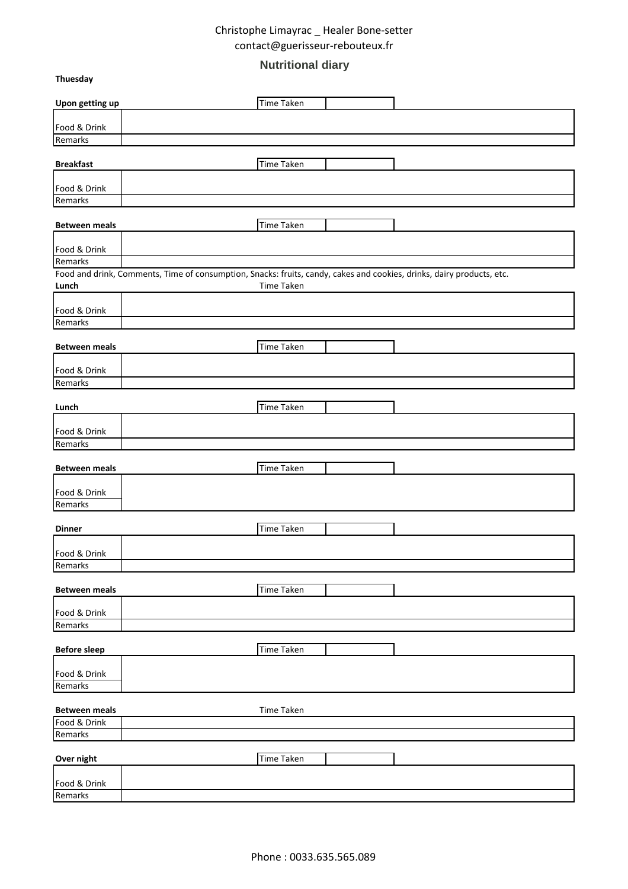# **Nutritional diary**

**Thuesday**

| Upon getting up                                                                                                       | <b>Time Taken</b> |  |
|-----------------------------------------------------------------------------------------------------------------------|-------------------|--|
| Food & Drink                                                                                                          |                   |  |
| Remarks                                                                                                               |                   |  |
|                                                                                                                       |                   |  |
| <b>Breakfast</b>                                                                                                      | <b>Time Taken</b> |  |
| Food & Drink                                                                                                          |                   |  |
| Remarks                                                                                                               |                   |  |
| <b>Between meals</b>                                                                                                  | <b>Time Taken</b> |  |
|                                                                                                                       |                   |  |
| Food & Drink<br>Remarks                                                                                               |                   |  |
| Food and drink, Comments, Time of consumption, Snacks: fruits, candy, cakes and cookies, drinks, dairy products, etc. |                   |  |
| Lunch                                                                                                                 | Time Taken        |  |
| Food & Drink                                                                                                          |                   |  |
| Remarks                                                                                                               |                   |  |
|                                                                                                                       |                   |  |
| <b>Between meals</b>                                                                                                  | <b>Time Taken</b> |  |
| Food & Drink                                                                                                          |                   |  |
| Remarks                                                                                                               |                   |  |
|                                                                                                                       | <b>Time Taken</b> |  |
| Lunch                                                                                                                 |                   |  |
| Food & Drink                                                                                                          |                   |  |
| Remarks                                                                                                               |                   |  |
| <b>Between meals</b>                                                                                                  | <b>Time Taken</b> |  |
|                                                                                                                       |                   |  |
| Food & Drink<br>Remarks                                                                                               |                   |  |
|                                                                                                                       |                   |  |
| <b>Dinner</b>                                                                                                         | Time Taken        |  |
| Food & Drink                                                                                                          |                   |  |
| Remarks                                                                                                               |                   |  |
|                                                                                                                       |                   |  |
| <b>Between meals</b>                                                                                                  | <b>Time Taken</b> |  |
| Food & Drink                                                                                                          |                   |  |
| Remarks                                                                                                               |                   |  |
| <b>Before sleep</b>                                                                                                   | <b>Time Taken</b> |  |
|                                                                                                                       |                   |  |
| Food & Drink<br>Remarks                                                                                               |                   |  |
|                                                                                                                       |                   |  |
| <b>Between meals</b>                                                                                                  | Time Taken        |  |
| Food & Drink                                                                                                          |                   |  |
| Remarks                                                                                                               |                   |  |
| Over night                                                                                                            | Time Taken        |  |
|                                                                                                                       |                   |  |
| Food & Drink<br>Remarks                                                                                               |                   |  |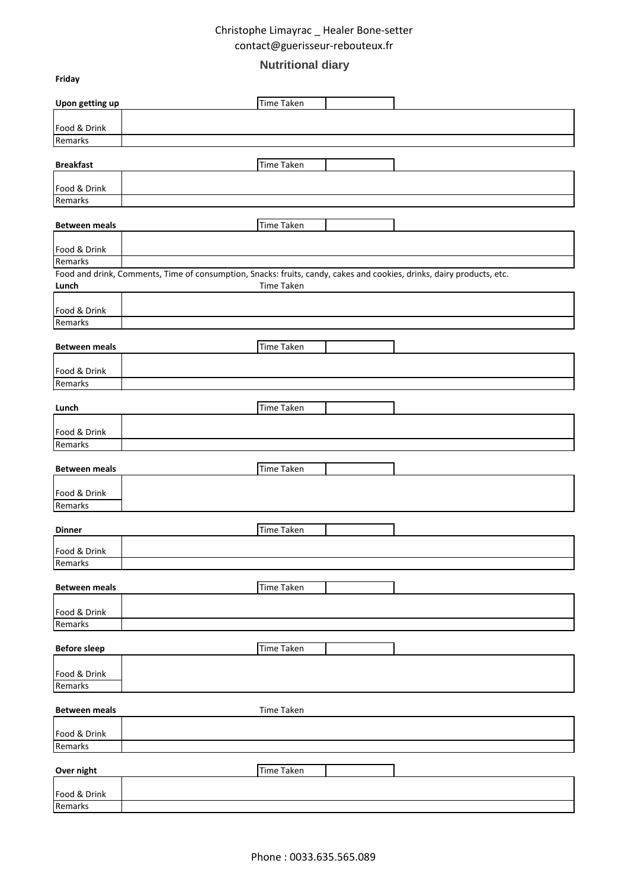# **Nutritional diary**

**Friday**

| Upon getting up         | <b>Time Taken</b>                                                                                                     |  |
|-------------------------|-----------------------------------------------------------------------------------------------------------------------|--|
|                         |                                                                                                                       |  |
| Food & Drink<br>Remarks |                                                                                                                       |  |
| <b>Breakfast</b>        | <b>Time Taken</b>                                                                                                     |  |
|                         |                                                                                                                       |  |
| Food & Drink            |                                                                                                                       |  |
| Remarks                 |                                                                                                                       |  |
| <b>Between meals</b>    | <b>Time Taken</b>                                                                                                     |  |
| Food & Drink            |                                                                                                                       |  |
| Remarks                 |                                                                                                                       |  |
|                         | Food and drink, Comments, Time of consumption, Snacks: fruits, candy, cakes and cookies, drinks, dairy products, etc. |  |
| Lunch                   | Time Taken                                                                                                            |  |
| Food & Drink            |                                                                                                                       |  |
| Remarks                 |                                                                                                                       |  |
| <b>Between meals</b>    | <b>Time Taken</b>                                                                                                     |  |
|                         |                                                                                                                       |  |
| Food & Drink<br>Remarks |                                                                                                                       |  |
|                         |                                                                                                                       |  |
| Lunch                   | <b>Time Taken</b>                                                                                                     |  |
| Food & Drink            |                                                                                                                       |  |
| Remarks                 |                                                                                                                       |  |
| <b>Between meals</b>    | <b>Time Taken</b>                                                                                                     |  |
| Food & Drink            |                                                                                                                       |  |
| Remarks                 |                                                                                                                       |  |
| <b>Dinner</b>           | <b>Time Taken</b>                                                                                                     |  |
| Food & Drink            |                                                                                                                       |  |
| Remarks                 |                                                                                                                       |  |
|                         |                                                                                                                       |  |
| <b>Between meals</b>    | Time Taken                                                                                                            |  |
| Food & Drink            |                                                                                                                       |  |
| Remarks                 |                                                                                                                       |  |
| <b>Before sleep</b>     | <b>Time Taken</b>                                                                                                     |  |
| Food & Drink            |                                                                                                                       |  |
| Remarks                 |                                                                                                                       |  |
| <b>Between meals</b>    | Time Taken                                                                                                            |  |
|                         |                                                                                                                       |  |
| Food & Drink<br>Remarks |                                                                                                                       |  |
|                         |                                                                                                                       |  |
| Over night              | <b>Time Taken</b>                                                                                                     |  |
| Food & Drink            |                                                                                                                       |  |
| Remarks                 |                                                                                                                       |  |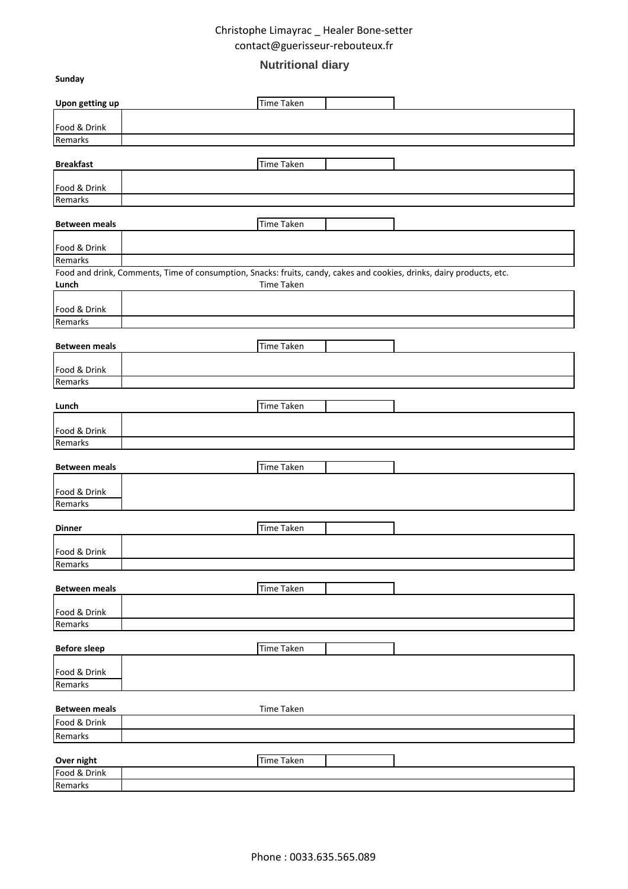# **Nutritional diary**

**Sunday**

| Upon getting up         | <b>Time Taken</b>                                                                                                     |
|-------------------------|-----------------------------------------------------------------------------------------------------------------------|
| Food & Drink            |                                                                                                                       |
| Remarks                 |                                                                                                                       |
| <b>Breakfast</b>        | Time Taken                                                                                                            |
|                         |                                                                                                                       |
| Food & Drink            |                                                                                                                       |
| Remarks                 |                                                                                                                       |
| <b>Between meals</b>    | Time Taken                                                                                                            |
|                         |                                                                                                                       |
| Food & Drink<br>Remarks |                                                                                                                       |
|                         | Food and drink, Comments, Time of consumption, Snacks: fruits, candy, cakes and cookies, drinks, dairy products, etc. |
| Lunch                   | Time Taken                                                                                                            |
|                         |                                                                                                                       |
| Food & Drink            |                                                                                                                       |
| Remarks                 |                                                                                                                       |
| <b>Between meals</b>    | <b>Time Taken</b>                                                                                                     |
| Food & Drink            |                                                                                                                       |
| Remarks                 |                                                                                                                       |
|                         |                                                                                                                       |
| Lunch                   | Time Taken                                                                                                            |
| Food & Drink            |                                                                                                                       |
| Remarks                 |                                                                                                                       |
|                         |                                                                                                                       |
| <b>Between meals</b>    | Time Taken                                                                                                            |
| Food & Drink            |                                                                                                                       |
| Remarks                 |                                                                                                                       |
|                         |                                                                                                                       |
| <b>Dinner</b>           | Time Taken                                                                                                            |
| Food & Drink            |                                                                                                                       |
| Remarks                 |                                                                                                                       |
|                         |                                                                                                                       |
| <b>Between meals</b>    | <b>Time Taken</b>                                                                                                     |
| Food & Drink            |                                                                                                                       |
| Remarks                 |                                                                                                                       |
|                         |                                                                                                                       |
| <b>Before sleep</b>     | Time Taken                                                                                                            |
| Food & Drink            |                                                                                                                       |
| Remarks                 |                                                                                                                       |
|                         |                                                                                                                       |
| <b>Between meals</b>    | Time Taken                                                                                                            |
| Food & Drink            |                                                                                                                       |
| Remarks                 |                                                                                                                       |
| Over night              | <b>Time Taken</b>                                                                                                     |
| Food & Drink            |                                                                                                                       |
| Remarks                 |                                                                                                                       |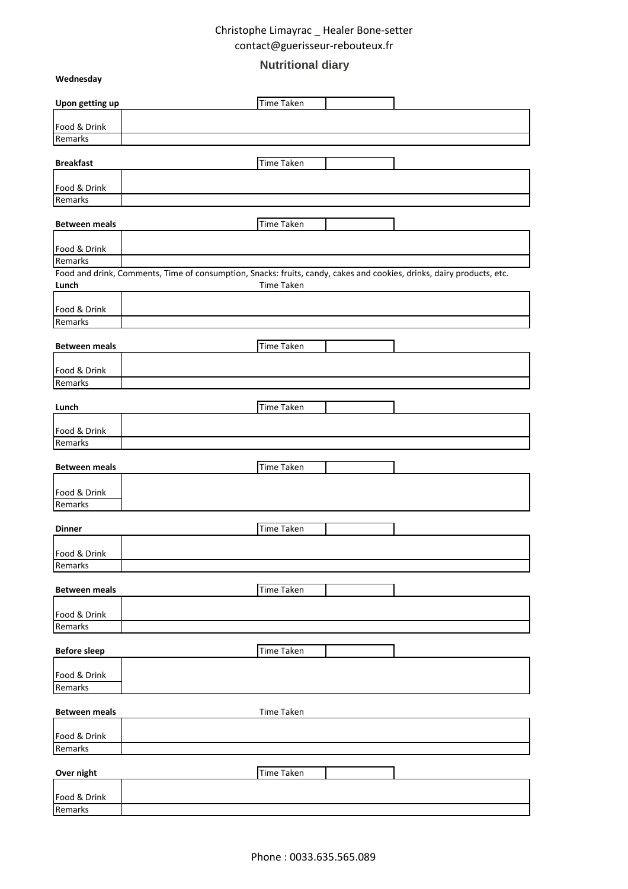# **Nutritional diary**

**Wednesday**

| Upon getting up         | Time Taken                                                                                                            |
|-------------------------|-----------------------------------------------------------------------------------------------------------------------|
|                         |                                                                                                                       |
| Food & Drink<br>Remarks |                                                                                                                       |
|                         |                                                                                                                       |
| <b>Breakfast</b>        | <b>Time Taken</b>                                                                                                     |
| Food & Drink            |                                                                                                                       |
| Remarks                 |                                                                                                                       |
|                         |                                                                                                                       |
| <b>Between meals</b>    | <b>Time Taken</b>                                                                                                     |
| Food & Drink            |                                                                                                                       |
| Remarks                 |                                                                                                                       |
|                         | Food and drink, Comments, Time of consumption, Snacks: fruits, candy, cakes and cookies, drinks, dairy products, etc. |
| Lunch                   | Time Taken                                                                                                            |
| Food & Drink            |                                                                                                                       |
| Remarks                 |                                                                                                                       |
| <b>Between meals</b>    | <b>Time Taken</b>                                                                                                     |
|                         |                                                                                                                       |
| Food & Drink            |                                                                                                                       |
| Remarks                 |                                                                                                                       |
| Lunch                   | <b>Time Taken</b>                                                                                                     |
|                         |                                                                                                                       |
| Food & Drink            |                                                                                                                       |
| Remarks                 |                                                                                                                       |
| <b>Between meals</b>    | <b>Time Taken</b>                                                                                                     |
|                         |                                                                                                                       |
| Food & Drink            |                                                                                                                       |
| Remarks                 |                                                                                                                       |
| <b>Dinner</b>           | <b>Time Taken</b>                                                                                                     |
|                         |                                                                                                                       |
| Food & Drink            |                                                                                                                       |
| Remarks                 |                                                                                                                       |
| <b>Between meals</b>    | <b>Time Taken</b>                                                                                                     |
|                         |                                                                                                                       |
| Food & Drink<br>Remarks |                                                                                                                       |
|                         |                                                                                                                       |
| <b>Before sleep</b>     | <b>Time Taken</b>                                                                                                     |
| Food & Drink            |                                                                                                                       |
| Remarks                 |                                                                                                                       |
|                         |                                                                                                                       |
| <b>Between meals</b>    | Time Taken                                                                                                            |
| Food & Drink            |                                                                                                                       |
| Remarks                 |                                                                                                                       |
|                         |                                                                                                                       |
| Over night              | <b>Time Taken</b>                                                                                                     |
| Food & Drink            |                                                                                                                       |
| Remarks                 |                                                                                                                       |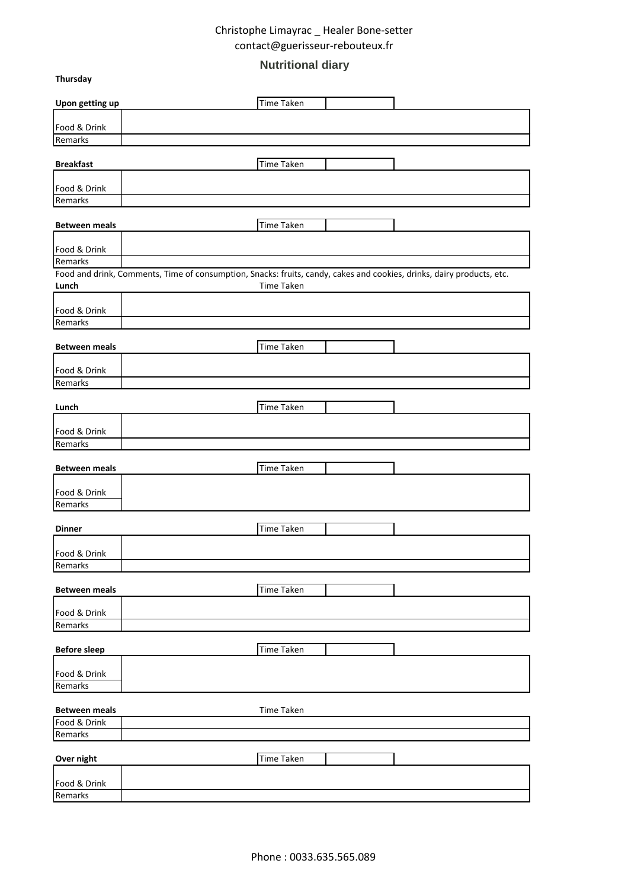# **Nutritional diary**

**Thursday**

| Upon getting up         | <b>Time Taken</b>                                                                                                     |
|-------------------------|-----------------------------------------------------------------------------------------------------------------------|
| Food & Drink            |                                                                                                                       |
| Remarks                 |                                                                                                                       |
|                         | Time Taken                                                                                                            |
| <b>Breakfast</b>        |                                                                                                                       |
| Food & Drink            |                                                                                                                       |
| Remarks                 |                                                                                                                       |
| <b>Between meals</b>    | <b>Time Taken</b>                                                                                                     |
|                         |                                                                                                                       |
| Food & Drink            |                                                                                                                       |
| Remarks                 | Food and drink, Comments, Time of consumption, Snacks: fruits, candy, cakes and cookies, drinks, dairy products, etc. |
| Lunch                   | Time Taken                                                                                                            |
|                         |                                                                                                                       |
| Food & Drink<br>Remarks |                                                                                                                       |
|                         |                                                                                                                       |
| <b>Between meals</b>    | <b>Time Taken</b>                                                                                                     |
| Food & Drink            |                                                                                                                       |
| Remarks                 |                                                                                                                       |
|                         |                                                                                                                       |
| Lunch                   | Time Taken                                                                                                            |
| Food & Drink            |                                                                                                                       |
| Remarks                 |                                                                                                                       |
| <b>Between meals</b>    | <b>Time Taken</b>                                                                                                     |
| Food & Drink            |                                                                                                                       |
| Remarks                 |                                                                                                                       |
|                         |                                                                                                                       |
| <b>Dinner</b>           | <b>Time Taken</b>                                                                                                     |
| Food & Drink            |                                                                                                                       |
| Remarks                 |                                                                                                                       |
| <b>Between meals</b>    | <b>Time Taken</b>                                                                                                     |
| Food & Drink            |                                                                                                                       |
| Remarks                 |                                                                                                                       |
|                         | <b>Time Taken</b>                                                                                                     |
| <b>Before sleep</b>     |                                                                                                                       |
| Food & Drink            |                                                                                                                       |
| Remarks                 |                                                                                                                       |
| <b>Between meals</b>    | Time Taken                                                                                                            |
| Food & Drink            |                                                                                                                       |
| Remarks                 |                                                                                                                       |
| Over night              | <b>Time Taken</b>                                                                                                     |
|                         |                                                                                                                       |
| Food & Drink            |                                                                                                                       |
| Remarks                 |                                                                                                                       |